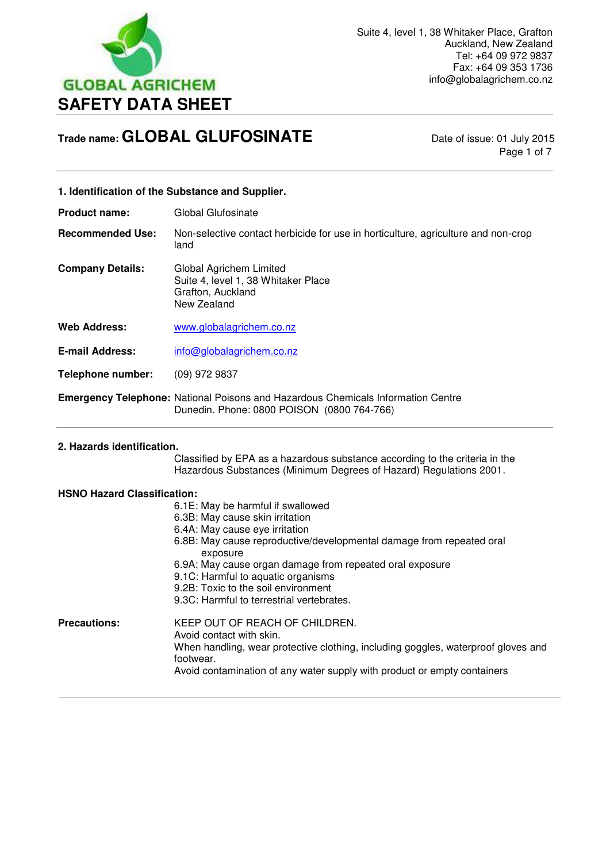

Page 1 of 7

# **1. Identification of the Substance and Supplier.**

**Product name:** Global Glufosinate

**Recommended Use:** Non-selective contact herbicide for use in horticulture, agriculture and non-crop land

**Company Details:** Global Agrichem Limited Suite 4, level 1, 38 Whitaker Place Grafton, Auckland New Zealand

**Web Address:** [www.globalagrichem.co.nz](http://www.globalagrichem.co.nz/)

E-mail Address: info@globalagrichem.co.nz

**Telephone number:** (09) 972 9837

**Emergency Telephone:** National Poisons and Hazardous Chemicals Information Centre Dunedin. Phone: 0800 POISON (0800 764-766)

#### **2. Hazards identification.**

 $\overline{a}$ 

 Classified by EPA as a hazardous substance according to the criteria in the Hazardous Substances (Minimum Degrees of Hazard) Regulations 2001.

#### **HSNO Hazard Classification:**

|                     | 6.1E: May be harmful if swallowed<br>6.3B: May cause skin irritation<br>6.4A: May cause eye irritation                                                                                                                                   |
|---------------------|------------------------------------------------------------------------------------------------------------------------------------------------------------------------------------------------------------------------------------------|
|                     | 6.8B: May cause reproductive/developmental damage from repeated oral<br>exposure                                                                                                                                                         |
|                     | 6.9A: May cause organ damage from repeated oral exposure<br>9.1C: Harmful to aquatic organisms<br>9.2B: Toxic to the soil environment<br>9.3C: Harmful to terrestrial vertebrates.                                                       |
| <b>Precautions:</b> | KEEP OUT OF REACH OF CHILDREN.<br>Avoid contact with skin.<br>When handling, wear protective clothing, including goggles, waterproof gloves and<br>footwear.<br>Avoid contamination of any water supply with product or empty containers |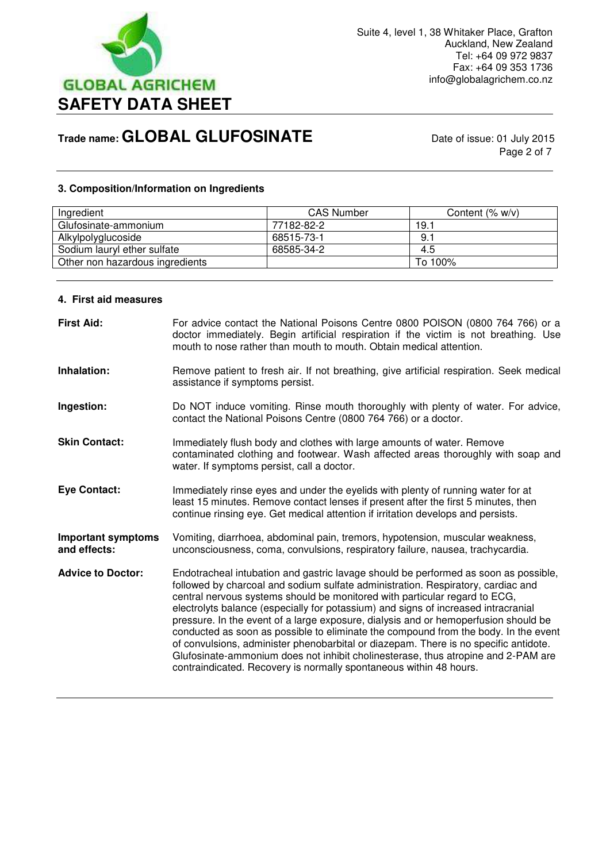

Page 2 of 7

# **3. Composition/Information on Ingredients**

| Ingredient                      | <b>CAS Number</b> | Content $(\% w/v)$ |
|---------------------------------|-------------------|--------------------|
| Glufosinate-ammonium            | 77182-82-2        | 19.1               |
| Alkylpolyglucoside              | 68515-73-1        | 9.1                |
| Sodium lauryl ether sulfate     | 68585-34-2        | 4.5                |
| Other non hazardous ingredients |                   | To 100%            |
|                                 |                   |                    |

#### **4. First aid measures**

| <b>First Aid:</b>                         | For advice contact the National Poisons Centre 0800 POISON (0800 764 766) or a<br>doctor immediately. Begin artificial respiration if the victim is not breathing. Use<br>mouth to nose rather than mouth to mouth. Obtain medical attention.                                                                                                                                                                                                                                                                                                                                                                                                                                                                                                                                |
|-------------------------------------------|------------------------------------------------------------------------------------------------------------------------------------------------------------------------------------------------------------------------------------------------------------------------------------------------------------------------------------------------------------------------------------------------------------------------------------------------------------------------------------------------------------------------------------------------------------------------------------------------------------------------------------------------------------------------------------------------------------------------------------------------------------------------------|
| Inhalation:                               | Remove patient to fresh air. If not breathing, give artificial respiration. Seek medical<br>assistance if symptoms persist.                                                                                                                                                                                                                                                                                                                                                                                                                                                                                                                                                                                                                                                  |
| Ingestion:                                | Do NOT induce vomiting. Rinse mouth thoroughly with plenty of water. For advice,<br>contact the National Poisons Centre (0800 764 766) or a doctor.                                                                                                                                                                                                                                                                                                                                                                                                                                                                                                                                                                                                                          |
| <b>Skin Contact:</b>                      | Immediately flush body and clothes with large amounts of water. Remove<br>contaminated clothing and footwear. Wash affected areas thoroughly with soap and<br>water. If symptoms persist, call a doctor.                                                                                                                                                                                                                                                                                                                                                                                                                                                                                                                                                                     |
| <b>Eye Contact:</b>                       | Immediately rinse eyes and under the eyelids with plenty of running water for at<br>least 15 minutes. Remove contact lenses if present after the first 5 minutes, then<br>continue rinsing eye. Get medical attention if irritation develops and persists.                                                                                                                                                                                                                                                                                                                                                                                                                                                                                                                   |
| <b>Important symptoms</b><br>and effects: | Vomiting, diarrhoea, abdominal pain, tremors, hypotension, muscular weakness,<br>unconsciousness, coma, convulsions, respiratory failure, nausea, trachycardia.                                                                                                                                                                                                                                                                                                                                                                                                                                                                                                                                                                                                              |
| <b>Advice to Doctor:</b>                  | Endotracheal intubation and gastric lavage should be performed as soon as possible,<br>followed by charcoal and sodium sulfate administration. Respiratory, cardiac and<br>central nervous systems should be monitored with particular regard to ECG,<br>electrolyts balance (especially for potassium) and signs of increased intracranial<br>pressure. In the event of a large exposure, dialysis and or hemoperfusion should be<br>conducted as soon as possible to eliminate the compound from the body. In the event<br>of convulsions, administer phenobarbital or diazepam. There is no specific antidote.<br>Glufosinate-ammonium does not inhibit cholinesterase, thus atropine and 2-PAM are<br>contraindicated. Recovery is normally spontaneous within 48 hours. |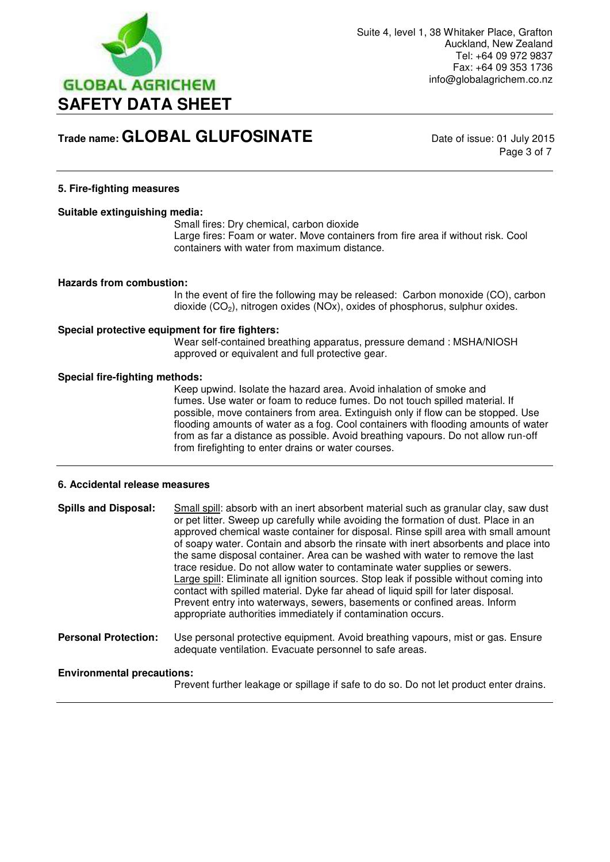

Page 3 of 7

### **5. Fire-fighting measures**

#### **Suitable extinguishing media:**

 Small fires: Dry chemical, carbon dioxide Large fires: Foam or water. Move containers from fire area if without risk. Cool containers with water from maximum distance.

#### **Hazards from combustion:**

In the event of fire the following may be released: Carbon monoxide (CO), carbon dioxide (CO2), nitrogen oxides (NOx), oxides of phosphorus, sulphur oxides.

#### **Special protective equipment for fire fighters:**

Wear self-contained breathing apparatus, pressure demand : MSHA/NIOSH approved or equivalent and full protective gear.

#### **Special fire-fighting methods:**

Keep upwind. Isolate the hazard area. Avoid inhalation of smoke and fumes. Use water or foam to reduce fumes. Do not touch spilled material. If possible, move containers from area. Extinguish only if flow can be stopped. Use flooding amounts of water as a fog. Cool containers with flooding amounts of water from as far a distance as possible. Avoid breathing vapours. Do not allow run-off from firefighting to enter drains or water courses.

#### **6. Accidental release measures**

**Spills and Disposal:** Small spill: absorb with an inert absorbent material such as granular clay, saw dust or pet litter. Sweep up carefully while avoiding the formation of dust. Place in an approved chemical waste container for disposal. Rinse spill area with small amount of soapy water. Contain and absorb the rinsate with inert absorbents and place into the same disposal container. Area can be washed with water to remove the last trace residue. Do not allow water to contaminate water supplies or sewers. Large spill: Eliminate all ignition sources. Stop leak if possible without coming into contact with spilled material. Dyke far ahead of liquid spill for later disposal. Prevent entry into waterways, sewers, basements or confined areas. Inform appropriate authorities immediately if contamination occurs.

**Personal Protection:** Use personal protective equipment. Avoid breathing vapours, mist or gas. Ensure adequate ventilation. Evacuate personnel to safe areas.

### **Environmental precautions:**

Prevent further leakage or spillage if safe to do so. Do not let product enter drains.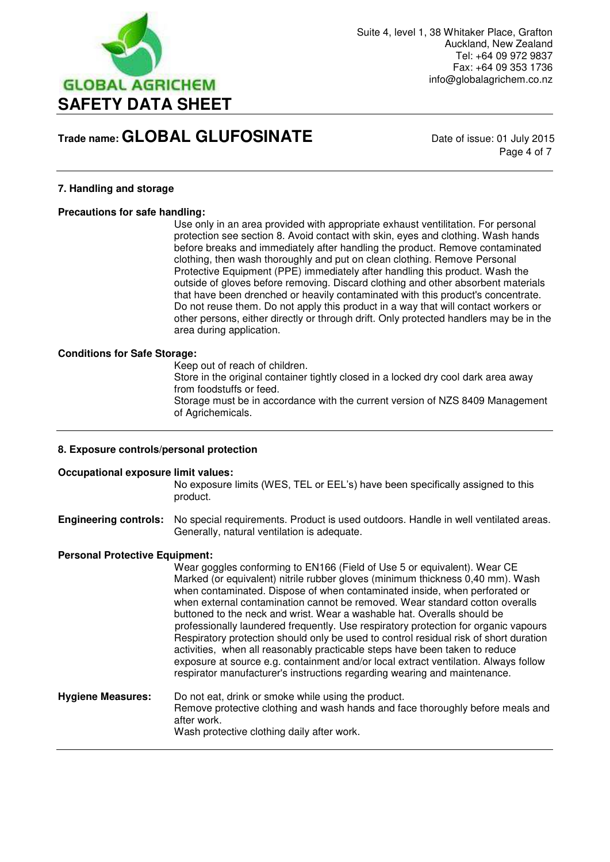

Page 4 of 7

### **7. Handling and storage**

#### **Precautions for safe handling:**

Use only in an area provided with appropriate exhaust ventilitation. For personal protection see section 8. Avoid contact with skin, eyes and clothing. Wash hands before breaks and immediately after handling the product. Remove contaminated clothing, then wash thoroughly and put on clean clothing. Remove Personal Protective Equipment (PPE) immediately after handling this product. Wash the outside of gloves before removing. Discard clothing and other absorbent materials that have been drenched or heavily contaminated with this product's concentrate. Do not reuse them. Do not apply this product in a way that will contact workers or other persons, either directly or through drift. Only protected handlers may be in the area during application.

#### **Conditions for Safe Storage:**

Keep out of reach of children.

 Store in the original container tightly closed in a locked dry cool dark area away from foodstuffs or feed.

 Storage must be in accordance with the current version of NZS 8409 Management of Agrichemicals.

#### **8. Exposure controls/personal protection**

#### **Occupational exposure limit values:**

No exposure limits (WES, TEL or EEL's) have been specifically assigned to this product.

**Engineering controls:** No special requirements. Product is used outdoors. Handle in well ventilated areas. Generally, natural ventilation is adequate.

#### **Personal Protective Equipment:**

Wear goggles conforming to EN166 (Field of Use 5 or equivalent). Wear CE Marked (or equivalent) nitrile rubber gloves (minimum thickness 0,40 mm). Wash when contaminated. Dispose of when contaminated inside, when perforated or when external contamination cannot be removed. Wear standard cotton overalls buttoned to the neck and wrist. Wear a washable hat. Overalls should be professionally laundered frequently. Use respiratory protection for organic vapours Respiratory protection should only be used to control residual risk of short duration activities, when all reasonably practicable steps have been taken to reduce exposure at source e.g. containment and/or local extract ventilation. Always follow respirator manufacturer's instructions regarding wearing and maintenance.

**Hygiene Measures:** Do not eat, drink or smoke while using the product. Remove protective clothing and wash hands and face thoroughly before meals and after work. Wash protective clothing daily after work.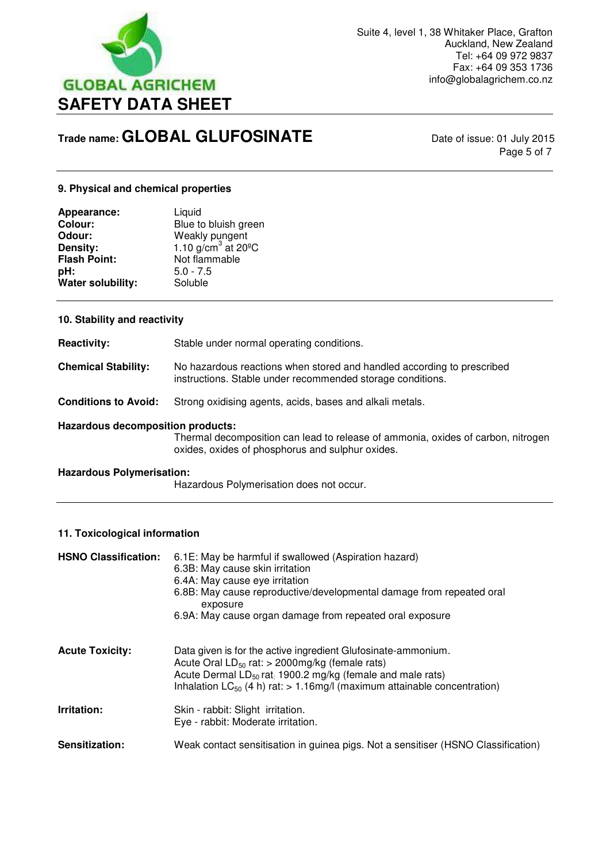

Page 5 of 7

### **9. Physical and chemical properties**

| Appearance:         | Liquid                           |
|---------------------|----------------------------------|
| <b>Colour:</b>      | Blue to bluish green             |
| Odour:              | Weakly pungent                   |
| Density:            | 1.10 $g/cm^3$ at 20 $^{\circ}$ C |
| <b>Flash Point:</b> | Not flammable                    |
| pH:                 | $5.0 - 7.5$                      |
| Water solubility:   | Soluble                          |

#### **10. Stability and reactivity**

**Reactivity:** Stable under normal operating conditions.

**Chemical Stability:** No hazardous reactions when stored and handled according to prescribed instructions. Stable under recommended storage conditions.

**Conditions to Avoid:** Strong oxidising agents, acids, bases and alkali metals.

#### **Hazardous decomposition products:**

Thermal decomposition can lead to release of ammonia, oxides of carbon, nitrogen oxides, oxides of phosphorus and sulphur oxides.

#### **Hazardous Polymerisation:**

Hazardous Polymerisation does not occur.

## **11. Toxicological information**

| <b>HSNO Classification:</b> | 6.1E: May be harmful if swallowed (Aspiration hazard)<br>6.3B: May cause skin irritation<br>6.4A: May cause eye irritation<br>6.8B: May cause reproductive/developmental damage from repeated oral<br>exposure<br>6.9A: May cause organ damage from repeated oral exposure |
|-----------------------------|----------------------------------------------------------------------------------------------------------------------------------------------------------------------------------------------------------------------------------------------------------------------------|
| <b>Acute Toxicity:</b>      | Data given is for the active ingredient Glufosinate-ammonium.<br>Acute Oral $LD_{50}$ rat: > 2000mg/kg (female rats)<br>Acute Dermal $LD_{50}$ rat. 1900.2 mg/kg (female and male rats)<br>Inhalation $LC_{50}$ (4 h) rat: > 1.16mg/l (maximum attainable concentration)   |
| Irritation:                 | Skin - rabbit: Slight irritation.<br>Eye - rabbit: Moderate irritation.                                                                                                                                                                                                    |
| Sensitization:              | Weak contact sensitisation in guinea pigs. Not a sensitiser (HSNO Classification)                                                                                                                                                                                          |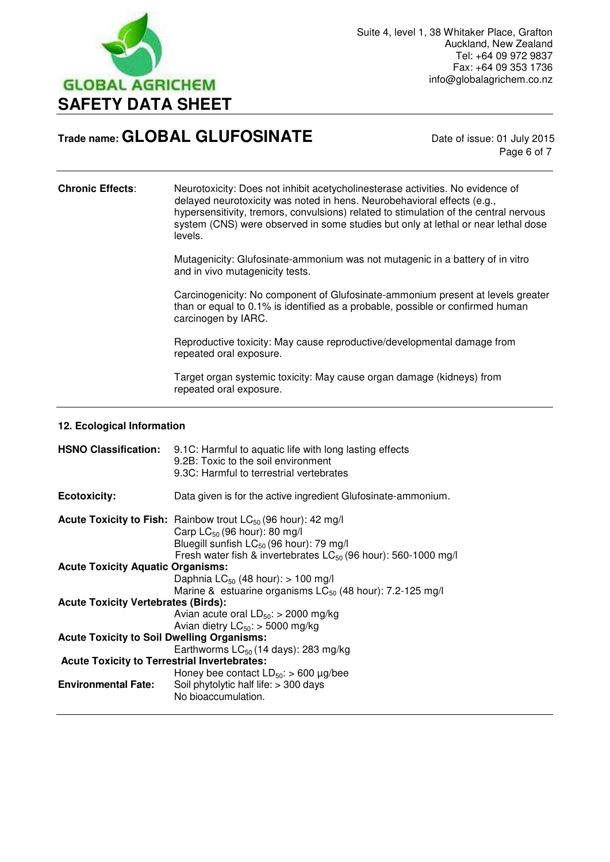

Page 6 of 7

**Chronic Effects**: Neurotoxicity: Does not inhibit acetycholinesterase activities. No evidence of delayed neurotoxicity was noted in hens. Neurobehavioral effects (e.g., hypersensitivity, tremors, convulsions) related to stimulation of the central nervous system (CNS) were observed in some studies but only at lethal or near lethal dose levels.

> Mutagenicity: Glufosinate-ammonium was not mutagenic in a battery of in vitro and in vivo mutagenicity tests.

 Carcinogenicity: No component of Glufosinate-ammonium present at levels greater than or equal to 0.1% is identified as a probable, possible or confirmed human carcinogen by IARC.

 Reproductive toxicity: May cause reproductive/developmental damage from repeated oral exposure.

Target organ systemic toxicity: May cause organ damage (kidneys) from repeated oral exposure.

#### **12. Ecological Information**

|                                                     | HSNO Classification: 9.1C: Harmful to aquatic life with long lasting effects<br>9.2B: Toxic to the soil environment<br>9.3C: Harmful to terrestrial vertebrates                                                                                      |
|-----------------------------------------------------|------------------------------------------------------------------------------------------------------------------------------------------------------------------------------------------------------------------------------------------------------|
| <b>Ecotoxicity:</b>                                 | Data given is for the active ingredient Glufosinate-ammonium.                                                                                                                                                                                        |
|                                                     | <b>Acute Toxicity to Fish:</b> Rainbow trout $LC_{50}$ (96 hour): 42 mg/l<br>Carp $LC_{50}$ (96 hour): 80 mg/l<br>Bluegill sunfish LC <sub>50</sub> (96 hour): 79 mg/l<br>Fresh water fish & invertebrates LC <sub>50</sub> (96 hour): 560-1000 mg/l |
| <b>Acute Toxicity Aquatic Organisms:</b>            |                                                                                                                                                                                                                                                      |
|                                                     | Daphnia LC <sub>50</sub> (48 hour): $> 100$ mg/l                                                                                                                                                                                                     |
|                                                     | Marine & estuarine organisms $LC_{50}$ (48 hour): 7.2-125 mg/l                                                                                                                                                                                       |
| <b>Acute Toxicity Vertebrates (Birds):</b>          |                                                                                                                                                                                                                                                      |
|                                                     | Avian acute oral $LD_{50}$ : > 2000 mg/kg                                                                                                                                                                                                            |
|                                                     | Avian dietry $LC_{50}$ : > 5000 mg/kg                                                                                                                                                                                                                |
| <b>Acute Toxicity to Soil Dwelling Organisms:</b>   |                                                                                                                                                                                                                                                      |
|                                                     | Earthworms $LC_{50}$ (14 days): 283 mg/kg                                                                                                                                                                                                            |
| <b>Acute Toxicity to Terrestrial Invertebrates:</b> |                                                                                                                                                                                                                                                      |
|                                                     | Honey bee contact $LD_{50}$ : > 600 µg/bee                                                                                                                                                                                                           |
| <b>Environmental Fate:</b>                          | Soil phytolytic half life: > 300 days                                                                                                                                                                                                                |
|                                                     | No bioaccumulation.                                                                                                                                                                                                                                  |